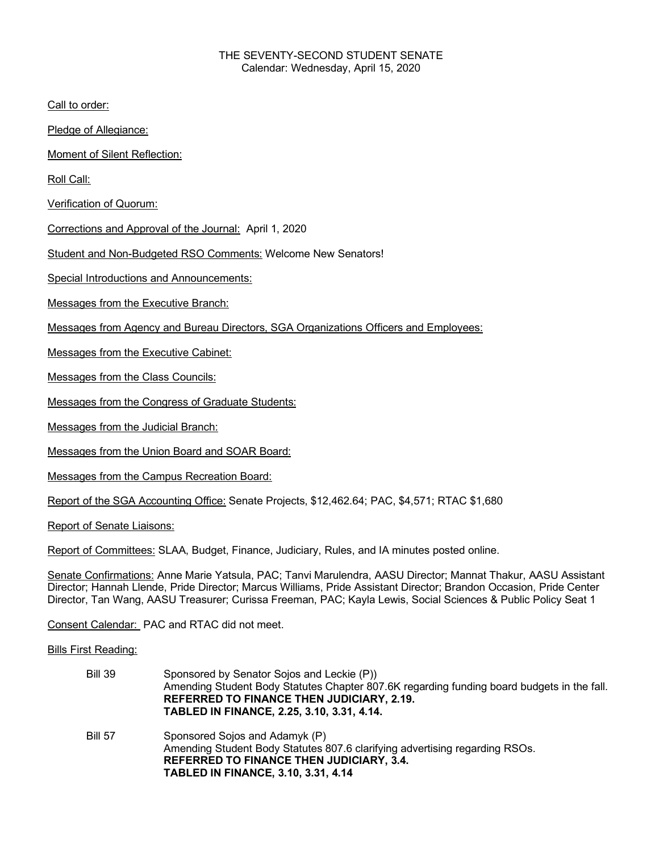## THE SEVENTY-SECOND STUDENT SENATE Calendar: Wednesday, April 15, 2020

Call to order:

Pledge of Allegiance:

Moment of Silent Reflection:

Roll Call:

Verification of Quorum:

Corrections and Approval of the Journal: April 1, 2020

Student and Non-Budgeted RSO Comments: Welcome New Senators!

Special Introductions and Announcements:

Messages from the Executive Branch:

Messages from Agency and Bureau Directors, SGA Organizations Officers and Employees:

Messages from the Executive Cabinet:

Messages from the Class Councils:

Messages from the Congress of Graduate Students:

Messages from the Judicial Branch:

Messages from the Union Board and SOAR Board:

Messages from the Campus Recreation Board:

Report of the SGA Accounting Office: Senate Projects, \$12,462.64; PAC, \$4,571; RTAC \$1,680

Report of Senate Liaisons:

Report of Committees: SLAA, Budget, Finance, Judiciary, Rules, and IA minutes posted online.

Senate Confirmations: Anne Marie Yatsula, PAC; Tanvi Marulendra, AASU Director; Mannat Thakur, AASU Assistant Director; Hannah Llende, Pride Director; Marcus Williams, Pride Assistant Director; Brandon Occasion, Pride Center Director, Tan Wang, AASU Treasurer; Curissa Freeman, PAC; Kayla Lewis, Social Sciences & Public Policy Seat 1

Consent Calendar: PAC and RTAC did not meet.

## Bills First Reading:

| <b>Bill 39</b> | Sponsored by Senator Sojos and Leckie (P))<br>Amending Student Body Statutes Chapter 807.6K regarding funding board budgets in the fall.<br><b>REFERRED TO FINANCE THEN JUDICIARY, 2.19.</b><br>TABLED IN FINANCE, 2.25, 3.10, 3.31, 4.14. |
|----------------|--------------------------------------------------------------------------------------------------------------------------------------------------------------------------------------------------------------------------------------------|
| <b>Bill 57</b> | Sponsored Sojos and Adamyk (P)<br>Amending Student Body Statutes 807.6 clarifying advertising regarding RSOs.<br><b>REFERRED TO FINANCE THEN JUDICIARY, 3.4.</b><br><b>TABLED IN FINANCE, 3.10, 3.31, 4.14</b>                             |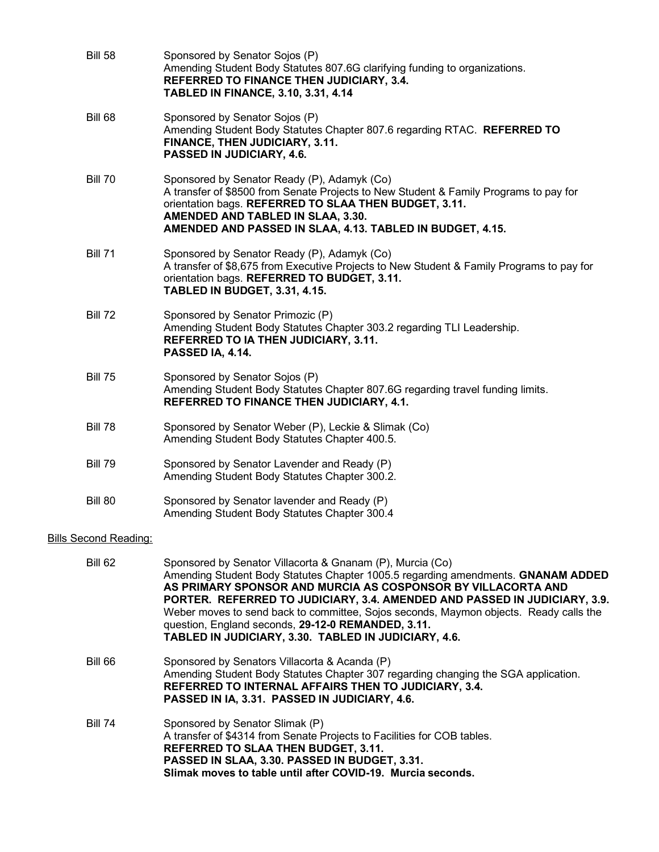| <b>Bill 58</b>               | Sponsored by Senator Sojos (P)<br>Amending Student Body Statutes 807.6G clarifying funding to organizations.<br>REFERRED TO FINANCE THEN JUDICIARY, 3.4.<br><b>TABLED IN FINANCE, 3.10, 3.31, 4.14</b>                                                                                                                                                                                                                                                                                            |
|------------------------------|---------------------------------------------------------------------------------------------------------------------------------------------------------------------------------------------------------------------------------------------------------------------------------------------------------------------------------------------------------------------------------------------------------------------------------------------------------------------------------------------------|
| <b>Bill 68</b>               | Sponsored by Senator Sojos (P)<br>Amending Student Body Statutes Chapter 807.6 regarding RTAC. REFERRED TO<br>FINANCE, THEN JUDICIARY, 3.11.<br>PASSED IN JUDICIARY, 4.6.                                                                                                                                                                                                                                                                                                                         |
| <b>Bill 70</b>               | Sponsored by Senator Ready (P), Adamyk (Co)<br>A transfer of \$8500 from Senate Projects to New Student & Family Programs to pay for<br>orientation bags. REFERRED TO SLAA THEN BUDGET, 3.11.<br>AMENDED AND TABLED IN SLAA, 3.30.<br>AMENDED AND PASSED IN SLAA, 4.13. TABLED IN BUDGET, 4.15.                                                                                                                                                                                                   |
| <b>Bill 71</b>               | Sponsored by Senator Ready (P), Adamyk (Co)<br>A transfer of \$8,675 from Executive Projects to New Student & Family Programs to pay for<br>orientation bags. REFERRED TO BUDGET, 3.11.<br><b>TABLED IN BUDGET, 3.31, 4.15.</b>                                                                                                                                                                                                                                                                   |
| <b>Bill 72</b>               | Sponsored by Senator Primozic (P)<br>Amending Student Body Statutes Chapter 303.2 regarding TLI Leadership.<br>REFERRED TO IA THEN JUDICIARY, 3.11.<br>PASSED IA, 4.14.                                                                                                                                                                                                                                                                                                                           |
| <b>Bill 75</b>               | Sponsored by Senator Sojos (P)<br>Amending Student Body Statutes Chapter 807.6G regarding travel funding limits.<br>REFERRED TO FINANCE THEN JUDICIARY, 4.1.                                                                                                                                                                                                                                                                                                                                      |
| <b>Bill 78</b>               | Sponsored by Senator Weber (P), Leckie & Slimak (Co)<br>Amending Student Body Statutes Chapter 400.5.                                                                                                                                                                                                                                                                                                                                                                                             |
| <b>Bill 79</b>               | Sponsored by Senator Lavender and Ready (P)<br>Amending Student Body Statutes Chapter 300.2.                                                                                                                                                                                                                                                                                                                                                                                                      |
| <b>Bill 80</b>               | Sponsored by Senator lavender and Ready (P)<br>Amending Student Body Statutes Chapter 300.4                                                                                                                                                                                                                                                                                                                                                                                                       |
| <b>Bills Second Reading:</b> |                                                                                                                                                                                                                                                                                                                                                                                                                                                                                                   |
| <b>Bill 62</b>               | Sponsored by Senator Villacorta & Gnanam (P), Murcia (Co)<br>Amending Student Body Statutes Chapter 1005.5 regarding amendments. GNANAM ADDED<br>AS PRIMARY SPONSOR AND MURCIA AS COSPONSOR BY VILLACORTA AND<br>PORTER. REFERRED TO JUDICIARY, 3.4. AMENDED AND PASSED IN JUDICIARY, 3.9.<br>Weber moves to send back to committee, Sojos seconds, Maymon objects. Ready calls the<br>question, England seconds, 29-12-0 REMANDED, 3.11.<br>TABLED IN JUDICIARY, 3.30. TABLED IN JUDICIARY, 4.6. |
| <b>Bill 66</b>               | Sponsored by Senators Villacorta & Acanda (P)<br>Amending Student Body Statutes Chapter 307 regarding changing the SGA application.<br>REFERRED TO INTERNAL AFFAIRS THEN TO JUDICIARY, 3.4.<br>PASSED IN IA, 3.31. PASSED IN JUDICIARY, 4.6.                                                                                                                                                                                                                                                      |
| <b>Bill 74</b>               | Sponsored by Senator Slimak (P)<br>A transfer of \$4314 from Senate Projects to Facilities for COB tables.<br><b>REFERRED TO SLAA THEN BUDGET, 3.11.</b><br>PASSED IN SLAA, 3.30. PASSED IN BUDGET, 3.31.<br>Slimak moves to table until after COVID-19. Murcia seconds.                                                                                                                                                                                                                          |